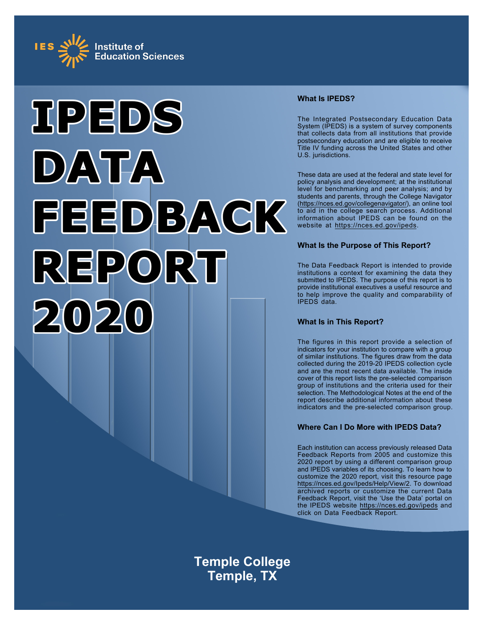



# **What Is IPEDS?**

The Integrated Postsecondary Education Data System (IPEDS) is a system of survey components that collects data from all institutions that provide postsecondary education and are eligible to receive Title IV funding across the United States and other U.S. jurisdictions.

These data are used at the federal and state level for policy analysis and development; at the institutional level for benchmarking and peer analysis; and by students and parents, through the College Navigator ([https://nces.ed.gov/collegenavigator/\)](https://nces.ed.gov/collegenavigator/), an online tool to aid in the college search process. Additional information about IPEDS can be found on the website at<https://nces.ed.gov/ipeds>.

## **What Is the Purpose of This Report?**

The Data Feedback Report is intended to provide institutions a context for examining the data they submitted to IPEDS. The purpose of this report is to provide institutional executives a useful resource and to help improve the quality and comparability of IPEDS data.

# **What Is in This Report?**

The figures in this report provide a selection of indicators for your institution to compare with a group of similar institutions. The figures draw from the data collected during the 2019-20 IPEDS collection cycle and are the most recent data available. The inside cover of this report lists the pre-selected comparison group of institutions and the criteria used for their selection. The Methodological Notes at the end of the report describe additional information about these indicators and the pre-selected comparison group.

# **Where Can I Do More with IPEDS Data?**

Each institution can access previously released Data Feedback Reports from 2005 and customize this 2020 report by using a different comparison group and IPEDS variables of its choosing. To learn how to customize the 2020 report, visit this resource page <https://nces.ed.gov/Ipeds/Help/View/2>. To download archived reports or customize the current Data Feedback Report, visit the 'Use the Data' portal on the IPEDS website<https://nces.ed.gov/ipeds> and click on Data Feedback Report.

**Temple College Temple, TX**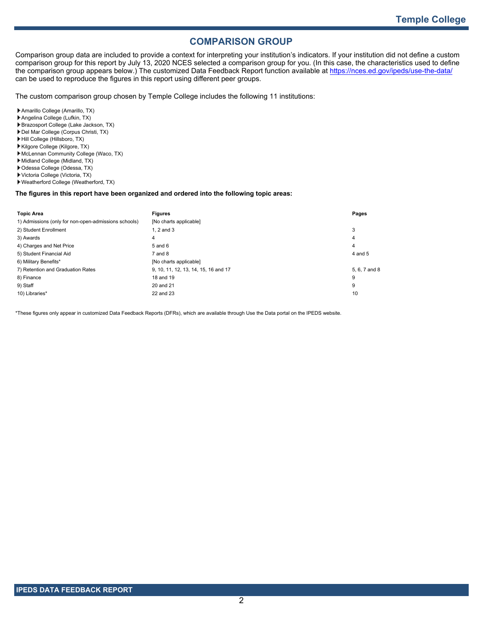# **COMPARISON GROUP**

Comparison group data are included to provide a context for interpreting your institution's indicators. If your institution did not define a custom comparison group for this report by July 13, 2020 NCES selected a comparison group for you. (In this case, the characteristics used to define the comparison group appears below.) The customized Data Feedback Report function available at<https://nces.ed.gov/ipeds/use-the-data/> can be used to reproduce the figures in this report using different peer groups.

The custom comparison group chosen by Temple College includes the following 11 institutions:

- Amarillo College (Amarillo, TX)
- Angelina College (Lufkin, TX)
- Brazosport College (Lake Jackson, TX)
- Del Mar College (Corpus Christi, TX)
- Hill College (Hillsboro, TX)
- Kilgore College (Kilgore, TX) McLennan Community College (Waco, TX)
- 
- Midland College (Midland, TX) Odessa College (Odessa, TX)
- 
- Victoria College (Victoria, TX) Weatherford College (Weatherford, TX)

### **The figures in this report have been organized and ordered into the following topic areas:**

| <b>Topic Area</b>                                    | <b>Figures</b>                       | Pages         |
|------------------------------------------------------|--------------------------------------|---------------|
| 1) Admissions (only for non-open-admissions schools) | [No charts applicable]               |               |
| 2) Student Enrollment                                | $1.2$ and $3$                        | 3             |
| 3) Awards                                            | 4                                    | 4             |
| 4) Charges and Net Price                             | $5$ and $6$                          | 4             |
| 5) Student Financial Aid                             | $7$ and $8$                          | 4 and 5       |
| 6) Military Benefits*                                | [No charts applicable]               |               |
| 7) Retention and Graduation Rates                    | 9, 10, 11, 12, 13, 14, 15, 16 and 17 | 5, 6, 7 and 8 |
| 8) Finance                                           | 18 and 19                            | 9             |
| 9) Staff                                             | 20 and 21                            | 9             |
| 10) Libraries*                                       | 22 and 23                            | 10            |

\*These figures only appear in customized Data Feedback Reports (DFRs), which are available through Use the Data portal on the IPEDS website.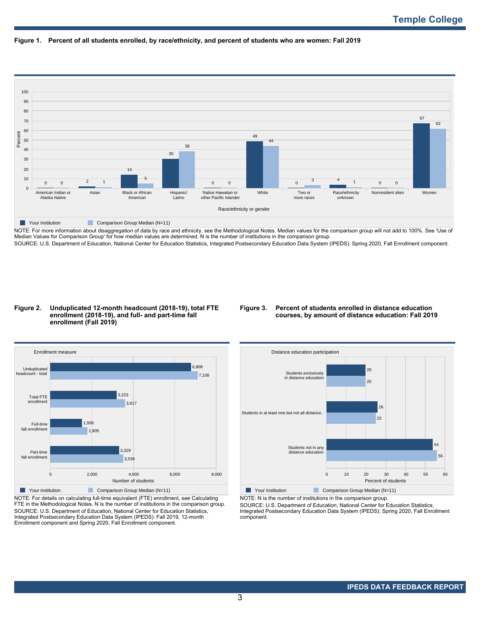



NOTE: For more information about disaggregation of data by race and ethnicity, see the Methodological Notes. Median values for the comparison group will not add to 100%. See 'Use of Median Values for Comparison Group' for how median values are determined. N is the number of institutions in the comparison group. SOURCE: U.S. Department of Education, National Center for Education Statistics, Integrated Postsecondary Education Data System (IPEDS): Spring 2020, Fall Enrollment component.

### **Figure 2. Unduplicated 12-month headcount (2018-19), total FTE enrollment (2018-19), and full- and part-time fall enrollment (Fall 2019)**

### **Figure 3. Percent of students enrolled in distance education courses, by amount of distance education: Fall 2019**



NOTE: For details on calculating full-time equivalent (FTE) enrollment, see Calculating FTE in the Methodological Notes. N is the number of institutions in the comparison group. SOURCE: U.S. Department of Education, National Center for Education Statistics, Integrated Postsecondary Education Data System (IPEDS): Fall 2019, 12-month Enrollment component and Spring 2020, Fall Enrollment component.



NOTE: N is the number of institutions in the comparison group.

SOURCE: U.S. Department of Education, National Center for Education Statistics, Integrated Postsecondary Education Data System (IPEDS): Spring 2020, Fall Enrollment component.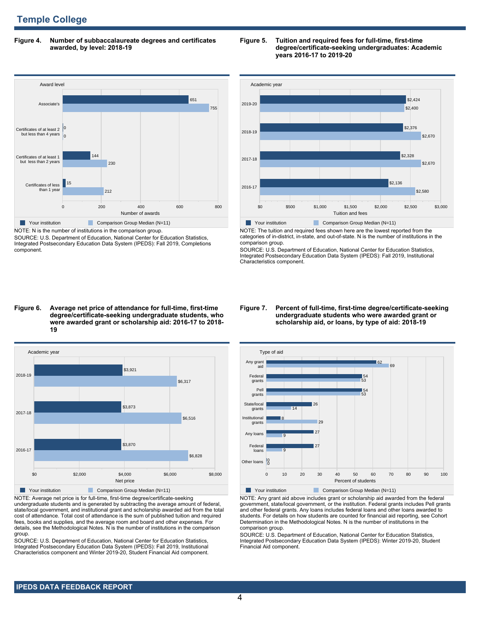# **Temple College**

**Figure 4. Number of subbaccalaureate degrees and certificates awarded, by level: 2018-19**



SOURCE: U.S. Department of Education, National Center for Education Statistics, Integrated Postsecondary Education Data System (IPEDS): Fall 2019, Completions component.

### **Figure 5. Tuition and required fees for full-time, first-time degree/certificate-seeking undergraduates: Academic years 2016-17 to 2019-20**



NOTE: The tuition and required fees shown here are the lowest reported from the categories of in-district, in-state, and out-of-state. N is the number of institutions in the comparison group.

SOURCE: U.S. Department of Education, National Center for Education Statistics, Integrated Postsecondary Education Data System (IPEDS): Fall 2019, Institutional Characteristics component.

### **Figure 6. Average net price of attendance for full-time, first-time degree/certificate-seeking undergraduate students, who were awarded grant or scholarship aid: 2016-17 to 2018- 19**



NOTE: Average net price is for full-time, first-time degree/certificate-seeking undergraduate students and is generated by subtracting the average amount of federal, state/local government, and institutional grant and scholarship awarded aid from the total cost of attendance. Total cost of attendance is the sum of published tuition and required fees, books and supplies, and the average room and board and other expenses. For details, see the Methodological Notes. N is the number of institutions in the comparison group.

SOURCE: U.S. Department of Education, National Center for Education Statistics, Integrated Postsecondary Education Data System (IPEDS): Fall 2019, Institutional Characteristics component and Winter 2019-20, Student Financial Aid component.

### **Figure 7. Percent of full-time, first-time degree/certificate-seeking undergraduate students who were awarded grant or scholarship aid, or loans, by type of aid: 2018-19**



NOTE: Any grant aid above includes grant or scholarship aid awarded from the federal government, state/local government, or the institution. Federal grants includes Pell grants and other federal grants. Any loans includes federal loans and other loans awarded to students. For details on how students are counted for financial aid reporting, see Cohort Determination in the Methodological Notes. N is the number of institutions in the comparison group.

SOURCE: U.S. Department of Education, National Center for Education Statistics, Integrated Postsecondary Education Data System (IPEDS): Winter 2019-20, Student Financial Aid component.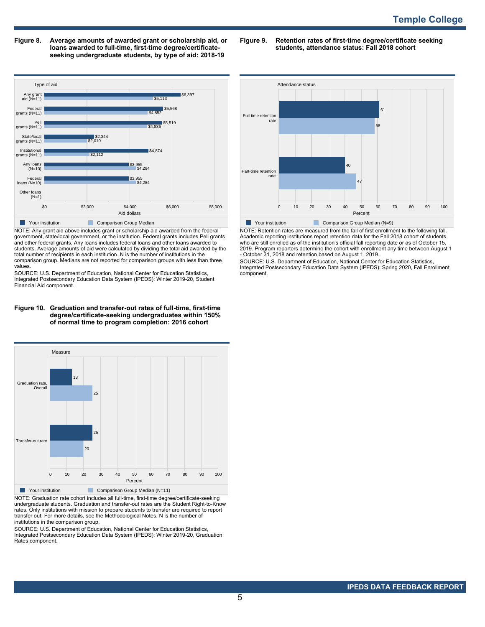**Figure 8. Average amounts of awarded grant or scholarship aid, or loans awarded to full-time, first-time degree/certificateseeking undergraduate students, by type of aid: 2018-19**

**Figure 9. Retention rates of first-time degree/certificate seeking students, attendance status: Fall 2018 cohort**



NOTE: Any grant aid above includes grant or scholarship aid awarded from the federal government, state/local government, or the institution. Federal grants includes Pell grants and other federal grants. Any loans includes federal loans and other loans awarded to students. Average amounts of aid were calculated by dividing the total aid awarded by the total number of recipients in each institution. N is the number of institutions in the comparison group. Medians are not reported for comparison groups with less than three values.

SOURCE: U.S. Department of Education, National Center for Education Statistics, Integrated Postsecondary Education Data System (IPEDS): Winter 2019-20, Student Financial Aid component.

#### **Figure 10. Graduation and transfer-out rates of full-time, first-time degree/certificate-seeking undergraduates within 150% of normal time to program completion: 2016 cohort**



NOTE: Graduation rate cohort includes all full-time, first-time degree/certificate-seeking undergraduate students. Graduation and transfer-out rates are the Student Right-to-Know rates. Only institutions with mission to prepare students to transfer are required to report transfer out. For more details, see the Methodological Notes. N is the number of institutions in the comparison group.

SOURCE: U.S. Department of Education, National Center for Education Statistics, Integrated Postsecondary Education Data System (IPEDS): Winter 2019-20, Graduation Rates component.



NOTE: Retention rates are measured from the fall of first enrollment to the following fall. Academic reporting institutions report retention data for the Fall 2018 cohort of students who are still enrolled as of the institution's official fall reporting date or as of October 15, 2019. Program reporters determine the cohort with enrollment any time between August 1 - October 31, 2018 and retention based on August 1, 2019.

SOURCE: U.S. Department of Education, National Center for Education Statistics, Integrated Postsecondary Education Data System (IPEDS): Spring 2020, Fall Enrollment component.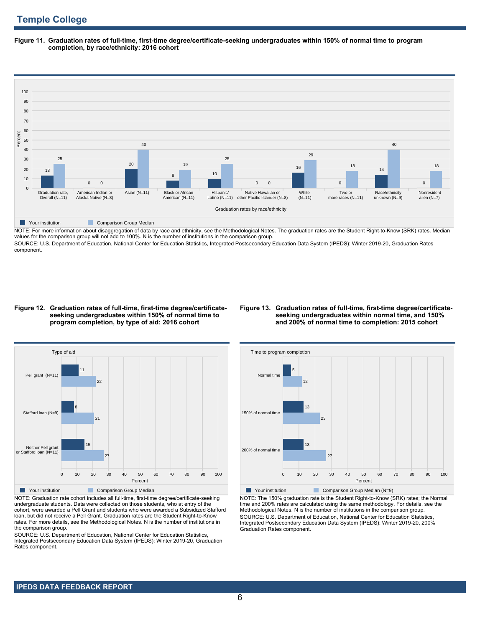**Figure 11. Graduation rates of full-time, first-time degree/certificate-seeking undergraduates within 150% of normal time to program completion, by race/ethnicity: 2016 cohort**



NOTE: For more information about disaggregation of data by race and ethnicity, see the Methodological Notes. The graduation rates are the Student Right-to-Know (SRK) rates. Median values for the comparison group will not add to 100%. N is the number of institutions in the comparison group.

SOURCE: U.S. Department of Education, National Center for Education Statistics, Integrated Postsecondary Education Data System (IPEDS): Winter 2019-20, Graduation Rates component.

### **Figure 12. Graduation rates of full-time, first-time degree/certificateseeking undergraduates within 150% of normal time to program completion, by type of aid: 2016 cohort**

### **Figure 13. Graduation rates of full-time, first-time degree/certificateseeking undergraduates within normal time, and 150% and 200% of normal time to completion: 2015 cohort**



NOTE: Graduation rate cohort includes all full-time, first-time degree/certificate-seeking undergraduate students. Data were collected on those students, who at entry of the cohort, were awarded a Pell Grant and students who were awarded a Subsidized Stafford loan, but did not receive a Pell Grant. Graduation rates are the Student Right-to-Know rates. For more details, see the Methodological Notes. N is the number of institutions in the comparison group.

SOURCE: U.S. Department of Education, National Center for Education Statistics, Integrated Postsecondary Education Data System (IPEDS): Winter 2019-20, Graduation Rates component.



NOTE: The 150% graduation rate is the Student Right-to-Know (SRK) rates; the Normal time and 200% rates are calculated using the same methodology. For details, see the Methodological Notes. N is the number of institutions in the comparison group. SOURCE: U.S. Department of Education, National Center for Education Statistics, Integrated Postsecondary Education Data System (IPEDS): Winter 2019-20, 200% Graduation Rates component.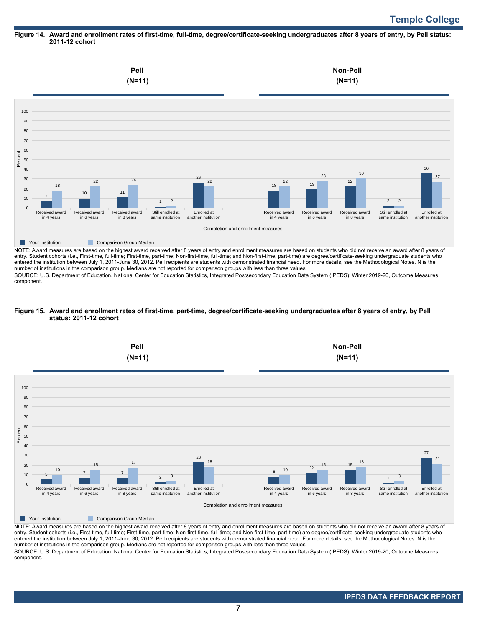# **Temple College**

### **Figure 14. Award and enrollment rates of first-time, full-time, degree/certificate-seeking undergraduates after 8 years of entry, by Pell status: 2011-12 cohort**



NOTE: Award measures are based on the highest award received after 8 years of entry and enrollment measures are based on students who did not receive an award after 8 years of entry. Student cohorts (i.e., First-time, full-time; First-time, part-time; Non-first-time, full-time; and Non-first-time, part-time) are degree/certificate-seeking undergraduate students who entered the institution between July 1, 2011-June 30, 2012. Pell recipients are students with demonstrated financial need. For more details, see the Methodological Notes. N is the number of institutions in the comparison group. Medians are not reported for comparison groups with less than three values.

SOURCE: U.S. Department of Education, National Center for Education Statistics, Integrated Postsecondary Education Data System (IPEDS): Winter 2019-20, Outcome Measures component.

### **Figure 15. Award and enrollment rates of first-time, part-time, degree/certificate-seeking undergraduates after 8 years of entry, by Pell status: 2011-12 cohort**



NOTE: Award measures are based on the highest award received after 8 years of entry and enrollment measures are based on students who did not receive an award after 8 years of entry. Student cohorts (i.e., First-time, full-time; First-time, part-time; Non-first-time, full-time; and Non-first-time, part-time) are degree/certificate-seeking undergraduate students who entered the institution between July 1, 2011-June 30, 2012. Pell recipients are students with demonstrated financial need. For more details, see the Methodological Notes. N is the number of institutions in the comparison group. Medians are not reported for comparison groups with less than three values. SOURCE: U.S. Department of Education, National Center for Education Statistics, Integrated Postsecondary Education Data System (IPEDS): Winter 2019-20, Outcome Measures component.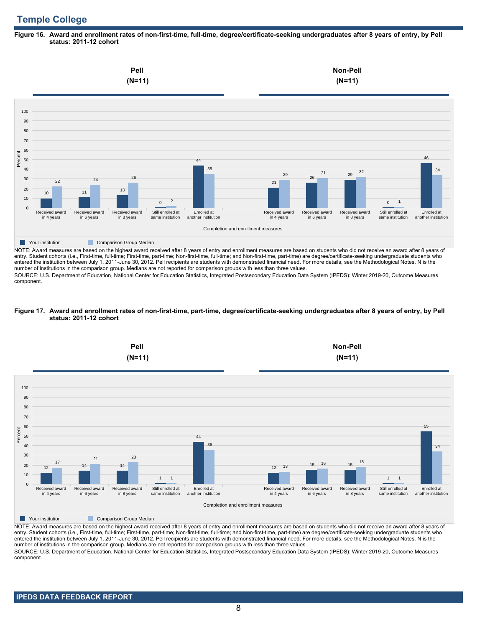# **Temple College**

### **Figure 16. Award and enrollment rates of non-first-time, full-time, degree/certificate-seeking undergraduates after 8 years of entry, by Pell status: 2011-12 cohort**



NOTE: Award measures are based on the highest award received after 8 years of entry and enrollment measures are based on students who did not receive an award after 8 years of entry. Student cohorts (i.e., First-time, full-time; First-time, part-time; Non-first-time, full-time; and Non-first-time, part-time) are degree/certificate-seeking undergraduate students who entered the institution between July 1, 2011-June 30, 2012. Pell recipients are students with demonstrated financial need. For more details, see the Methodological Notes. N is the number of institutions in the comparison group. Medians are not reported for comparison groups with less than three values.

SOURCE: U.S. Department of Education, National Center for Education Statistics, Integrated Postsecondary Education Data System (IPEDS): Winter 2019-20, Outcome Measures component.

### **Figure 17. Award and enrollment rates of non-first-time, part-time, degree/certificate-seeking undergraduates after 8 years of entry, by Pell status: 2011-12 cohort**



NOTE: Award measures are based on the highest award received after 8 years of entry and enrollment measures are based on students who did not receive an award after 8 years of entry. Student cohorts (i.e., First-time, full-time; First-time, part-time; Non-first-time, full-time; and Non-first-time, part-time) are degree/certificate-seeking undergraduate students who entered the institution between July 1, 2011-June 30, 2012. Pell recipients are students with demonstrated financial need. For more details, see the Methodological Notes. N is the number of institutions in the comparison group. Medians are not reported for comparison groups with less than three values. SOURCE: U.S. Department of Education, National Center for Education Statistics, Integrated Postsecondary Education Data System (IPEDS): Winter 2019-20, Outcome Measures component.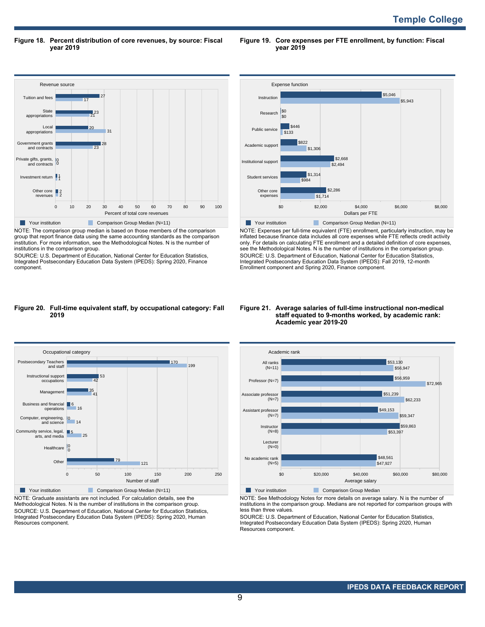**Figure 18. Percent distribution of core revenues, by source: Fiscal year 2019**

**Figure 19. Core expenses per FTE enrollment, by function: Fiscal year 2019**



NOTE: The comparison group median is based on those members of the comparison group that report finance data using the same accounting standards as the comparison institution. For more information, see the Methodological Notes. N is the number of institutions in the comparison group.

SOURCE: U.S. Department of Education, National Center for Education Statistics, Integrated Postsecondary Education Data System (IPEDS): Spring 2020, Finance component.



NOTE: Expenses per full-time equivalent (FTE) enrollment, particularly instruction, may be inflated because finance data includes all core expenses while FTE reflects credit activity only. For details on calculating FTE enrollment and a detailed definition of core expenses, see the Methodological Notes. N is the number of institutions in the comparison group. SOURCE: U.S. Department of Education, National Center for Education Statistics, Integrated Postsecondary Education Data System (IPEDS): Fall 2019, 12-month Enrollment component and Spring 2020, Finance component.

### **Figure 20. Full-time equivalent staff, by occupational category: Fall 2019**



NOTE: Graduate assistants are not included. For calculation details, see the Methodological Notes. N is the number of institutions in the comparison group. SOURCE: U.S. Department of Education, National Center for Education Statistics, Integrated Postsecondary Education Data System (IPEDS): Spring 2020, Human Resources component.

### **Figure 21. Average salaries of full-time instructional non-medical staff equated to 9-months worked, by academic rank: Academic year 2019-20**



NOTE: See Methodology Notes for more details on average salary. N is the number of institutions in the comparison group. Medians are not reported for comparison groups with less than three values.

SOURCE: U.S. Department of Education, National Center for Education Statistics, Integrated Postsecondary Education Data System (IPEDS): Spring 2020, Human Resources component.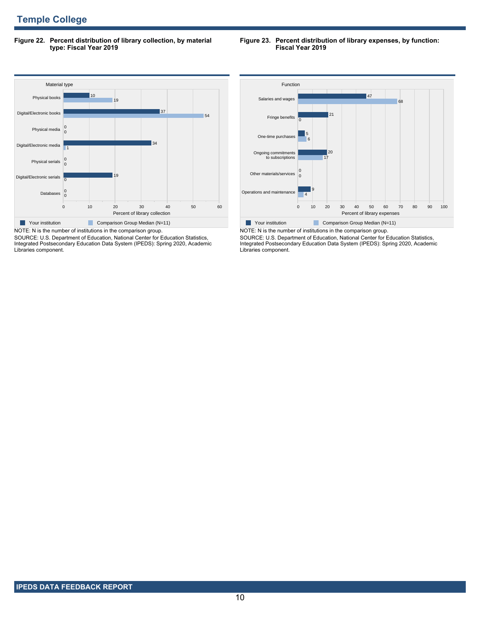**Figure 22. Percent distribution of library collection, by material type: Fiscal Year 2019**

### **Figure 23. Percent distribution of library expenses, by function: Fiscal Year 2019**



SOURCE: U.S. Department of Education, National Center for Education Statistics, Integrated Postsecondary Education Data System (IPEDS): Spring 2020, Academic Libraries component.



NOTE: N is the number of institutions in the comparison group. SOURCE: U.S. Department of Education, National Center for Education Statistics, Integrated Postsecondary Education Data System (IPEDS): Spring 2020, Academic Libraries component.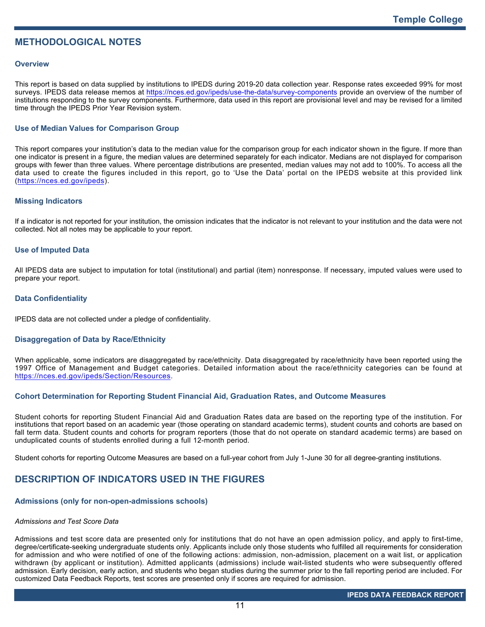# **METHODOLOGICAL NOTES**

### **Overview**

This report is based on data supplied by institutions to IPEDS during 2019-20 data collection year. Response rates exceeded 99% for most surveys. IPEDS data release memos at <https://nces.ed.gov/ipeds/use-the-data/survey-components> provide an overview of the number of institutions responding to the survey components. Furthermore, data used in this report are provisional level and may be revised for a limited time through the IPEDS Prior Year Revision system.

## **Use of Median Values for Comparison Group**

This report compares your institution's data to the median value for the comparison group for each indicator shown in the figure. If more than one indicator is present in a figure, the median values are determined separately for each indicator. Medians are not displayed for comparison groups with fewer than three values. Where percentage distributions are presented, median values may not add to 100%. To access all the data used to create the figures included in this report, go to 'Use the Data' portal on the IPEDS website at this provided link (<https://nces.ed.gov/ipeds>).

### **Missing Indicators**

If a indicator is not reported for your institution, the omission indicates that the indicator is not relevant to your institution and the data were not collected. Not all notes may be applicable to your report.

### **Use of Imputed Data**

All IPEDS data are subject to imputation for total (institutional) and partial (item) nonresponse. If necessary, imputed values were used to prepare your report.

### **Data Confidentiality**

IPEDS data are not collected under a pledge of confidentiality.

### **Disaggregation of Data by Race/Ethnicity**

When applicable, some indicators are disaggregated by race/ethnicity. Data disaggregated by race/ethnicity have been reported using the 1997 Office of Management and Budget categories. Detailed information about the race/ethnicity categories can be found at <https://nces.ed.gov/ipeds/Section/Resources>.

## **Cohort Determination for Reporting Student Financial Aid, Graduation Rates, and Outcome Measures**

Student cohorts for reporting Student Financial Aid and Graduation Rates data are based on the reporting type of the institution. For institutions that report based on an academic year (those operating on standard academic terms), student counts and cohorts are based on fall term data. Student counts and cohorts for program reporters (those that do not operate on standard academic terms) are based on unduplicated counts of students enrolled during a full 12-month period.

Student cohorts for reporting Outcome Measures are based on a full-year cohort from July 1-June 30 for all degree-granting institutions.

# **DESCRIPTION OF INDICATORS USED IN THE FIGURES**

### **Admissions (only for non-open-admissions schools)**

### *Admissions and Test Score Data*

Admissions and test score data are presented only for institutions that do not have an open admission policy, and apply to first-time, degree/certificate-seeking undergraduate students only. Applicants include only those students who fulfilled all requirements for consideration for admission and who were notified of one of the following actions: admission, non-admission, placement on a wait list, or application withdrawn (by applicant or institution). Admitted applicants (admissions) include wait-listed students who were subsequently offered admission. Early decision, early action, and students who began studies during the summer prior to the fall reporting period are included. For customized Data Feedback Reports, test scores are presented only if scores are required for admission.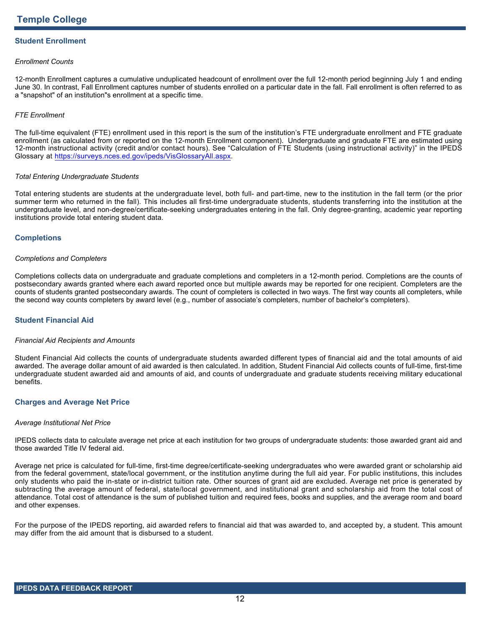# **Student Enrollment**

### *Enrollment Counts*

12-month Enrollment captures a cumulative unduplicated headcount of enrollment over the full 12-month period beginning July 1 and ending June 30. In contrast, Fall Enrollment captures number of students enrolled on a particular date in the fall. Fall enrollment is often referred to as a "snapshot" of an institution"s enrollment at a specific time.

### *FTE Enrollment*

The full-time equivalent (FTE) enrollment used in this report is the sum of the institution's FTE undergraduate enrollment and FTE graduate enrollment (as calculated from or reported on the 12-month Enrollment component). Undergraduate and graduate FTE are estimated using 12-month instructional activity (credit and/or contact hours). See "Calculation of FTE Students (using instructional activity)" in the IPEDS Glossary at <https://surveys.nces.ed.gov/ipeds/VisGlossaryAll.aspx>.

### *Total Entering Undergraduate Students*

Total entering students are students at the undergraduate level, both full- and part-time, new to the institution in the fall term (or the prior summer term who returned in the fall). This includes all first-time undergraduate students, students transferring into the institution at the undergraduate level, and non-degree/certificate-seeking undergraduates entering in the fall. Only degree-granting, academic year reporting institutions provide total entering student data.

### **Completions**

### *Completions and Completers*

Completions collects data on undergraduate and graduate completions and completers in a 12-month period. Completions are the counts of postsecondary awards granted where each award reported once but multiple awards may be reported for one recipient. Completers are the counts of students granted postsecondary awards. The count of completers is collected in two ways. The first way counts all completers, while the second way counts completers by award level (e.g., number of associate's completers, number of bachelor's completers).

## **Student Financial Aid**

### *Financial Aid Recipients and Amounts*

Student Financial Aid collects the counts of undergraduate students awarded different types of financial aid and the total amounts of aid awarded. The average dollar amount of aid awarded is then calculated. In addition, Student Financial Aid collects counts of full-time, first-time undergraduate student awarded aid and amounts of aid, and counts of undergraduate and graduate students receiving military educational benefits.

### **Charges and Average Net Price**

### *Average Institutional Net Price*

IPEDS collects data to calculate average net price at each institution for two groups of undergraduate students: those awarded grant aid and those awarded Title IV federal aid.

Average net price is calculated for full-time, first-time degree/certificate-seeking undergraduates who were awarded grant or scholarship aid from the federal government, state/local government, or the institution anytime during the full aid year. For public institutions, this includes only students who paid the in-state or in-district tuition rate. Other sources of grant aid are excluded. Average net price is generated by subtracting the average amount of federal, state/local government, and institutional grant and scholarship aid from the total cost of attendance. Total cost of attendance is the sum of published tuition and required fees, books and supplies, and the average room and board and other expenses.

For the purpose of the IPEDS reporting, aid awarded refers to financial aid that was awarded to, and accepted by, a student. This amount may differ from the aid amount that is disbursed to a student.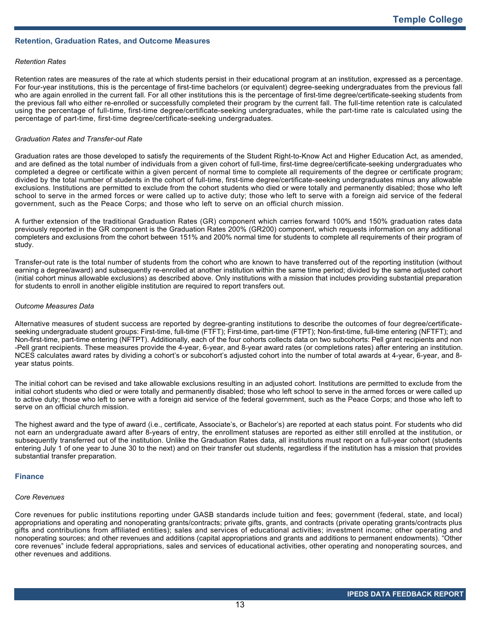### **Retention, Graduation Rates, and Outcome Measures**

### *Retention Rates*

Retention rates are measures of the rate at which students persist in their educational program at an institution, expressed as a percentage. For four-year institutions, this is the percentage of first-time bachelors (or equivalent) degree-seeking undergraduates from the previous fall who are again enrolled in the current fall. For all other institutions this is the percentage of first-time degree/certificate-seeking students from the previous fall who either re-enrolled or successfully completed their program by the current fall. The full-time retention rate is calculated using the percentage of full-time, first-time degree/certificate-seeking undergraduates, while the part-time rate is calculated using the percentage of part-time, first-time degree/certificate-seeking undergraduates.

### *Graduation Rates and Transfer-out Rate*

Graduation rates are those developed to satisfy the requirements of the Student Right-to-Know Act and Higher Education Act, as amended, and are defined as the total number of individuals from a given cohort of full-time, first-time degree/certificate-seeking undergraduates who completed a degree or certificate within a given percent of normal time to complete all requirements of the degree or certificate program; divided by the total number of students in the cohort of full-time, first-time degree/certificate-seeking undergraduates minus any allowable exclusions. Institutions are permitted to exclude from the cohort students who died or were totally and permanently disabled; those who left school to serve in the armed forces or were called up to active duty; those who left to serve with a foreign aid service of the federal government, such as the Peace Corps; and those who left to serve on an official church mission.

A further extension of the traditional Graduation Rates (GR) component which carries forward 100% and 150% graduation rates data previously reported in the GR component is the Graduation Rates 200% (GR200) component, which requests information on any additional completers and exclusions from the cohort between 151% and 200% normal time for students to complete all requirements of their program of study.

Transfer-out rate is the total number of students from the cohort who are known to have transferred out of the reporting institution (without earning a degree/award) and subsequently re-enrolled at another institution within the same time period; divided by the same adjusted cohort (initial cohort minus allowable exclusions) as described above. Only institutions with a mission that includes providing substantial preparation for students to enroll in another eligible institution are required to report transfers out.

### *Outcome Measures Data*

Alternative measures of student success are reported by degree-granting institutions to describe the outcomes of four degree/certificateseeking undergraduate student groups: First-time, full-time (FTFT); First-time, part-time (FTPT); Non-first-time, full-time entering (NFTFT); and Non-first-time, part-time entering (NFTPT). Additionally, each of the four cohorts collects data on two subcohorts: Pell grant recipients and non -Pell grant recipients. These measures provide the 4-year, 6-year, and 8-year award rates (or completions rates) after entering an institution. NCES calculates award rates by dividing a cohort's or subcohort's adjusted cohort into the number of total awards at 4-year, 6-year, and 8 year status points.

The initial cohort can be revised and take allowable exclusions resulting in an adjusted cohort. Institutions are permitted to exclude from the initial cohort students who died or were totally and permanently disabled; those who left school to serve in the armed forces or were called up to active duty; those who left to serve with a foreign aid service of the federal government, such as the Peace Corps; and those who left to serve on an official church mission.

The highest award and the type of award (i.e., certificate, Associate's, or Bachelor's) are reported at each status point. For students who did not earn an undergraduate award after 8-years of entry, the enrollment statuses are reported as either still enrolled at the institution, or subsequently transferred out of the institution. Unlike the Graduation Rates data, all institutions must report on a full-year cohort (students entering July 1 of one year to June 30 to the next) and on their transfer out students, regardless if the institution has a mission that provides substantial transfer preparation.

#### **Finance**

### *Core Revenues*

Core revenues for public institutions reporting under GASB standards include tuition and fees; government (federal, state, and local) appropriations and operating and nonoperating grants/contracts; private gifts, grants, and contracts (private operating grants/contracts plus gifts and contributions from affiliated entities); sales and services of educational activities; investment income; other operating and nonoperating sources; and other revenues and additions (capital appropriations and grants and additions to permanent endowments). "Other core revenues" include federal appropriations, sales and services of educational activities, other operating and nonoperating sources, and other revenues and additions.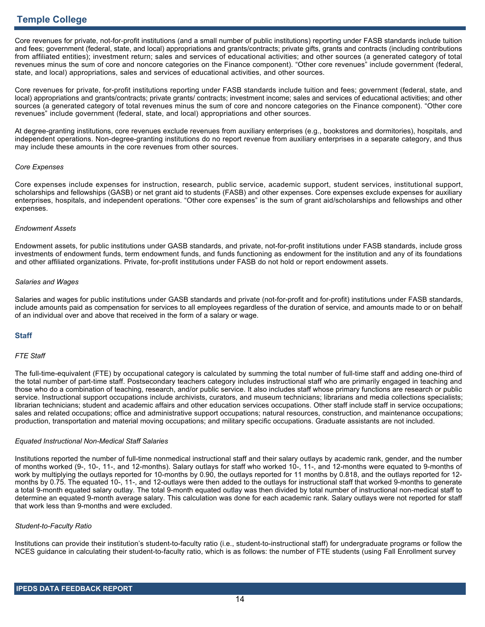Core revenues for private, not-for-profit institutions (and a small number of public institutions) reporting under FASB standards include tuition and fees; government (federal, state, and local) appropriations and grants/contracts; private gifts, grants and contracts (including contributions from affiliated entities); investment return; sales and services of educational activities; and other sources (a generated category of total revenues minus the sum of core and noncore categories on the Finance component). "Other core revenues" include government (federal, state, and local) appropriations, sales and services of educational activities, and other sources.

Core revenues for private, for-profit institutions reporting under FASB standards include tuition and fees; government (federal, state, and local) appropriations and grants/contracts; private grants/ contracts; investment income; sales and services of educational activities; and other sources (a generated category of total revenues minus the sum of core and noncore categories on the Finance component). "Other core revenues" include government (federal, state, and local) appropriations and other sources.

At degree-granting institutions, core revenues exclude revenues from auxiliary enterprises (e.g., bookstores and dormitories), hospitals, and independent operations. Non-degree-granting institutions do no report revenue from auxiliary enterprises in a separate category, and thus may include these amounts in the core revenues from other sources.

### *Core Expenses*

Core expenses include expenses for instruction, research, public service, academic support, student services, institutional support, scholarships and fellowships (GASB) or net grant aid to students (FASB) and other expenses. Core expenses exclude expenses for auxiliary enterprises, hospitals, and independent operations. "Other core expenses" is the sum of grant aid/scholarships and fellowships and other expenses.

### *Endowment Assets*

Endowment assets, for public institutions under GASB standards, and private, not-for-profit institutions under FASB standards, include gross investments of endowment funds, term endowment funds, and funds functioning as endowment for the institution and any of its foundations and other affiliated organizations. Private, for-profit institutions under FASB do not hold or report endowment assets.

### *Salaries and Wages*

Salaries and wages for public institutions under GASB standards and private (not-for-profit and for-profit) institutions under FASB standards, include amounts paid as compensation for services to all employees regardless of the duration of service, and amounts made to or on behalf of an individual over and above that received in the form of a salary or wage.

## **Staff**

### *FTE Staff*

The full-time-equivalent (FTE) by occupational category is calculated by summing the total number of full-time staff and adding one-third of the total number of part-time staff. Postsecondary teachers category includes instructional staff who are primarily engaged in teaching and those who do a combination of teaching, research, and/or public service. It also includes staff whose primary functions are research or public service. Instructional support occupations include archivists, curators, and museum technicians; librarians and media collections specialists; librarian technicians; student and academic affairs and other education services occupations. Other staff include staff in service occupations; sales and related occupations; office and administrative support occupations; natural resources, construction, and maintenance occupations; production, transportation and material moving occupations; and military specific occupations. Graduate assistants are not included.

### *Equated Instructional Non-Medical Staff Salaries*

Institutions reported the number of full-time nonmedical instructional staff and their salary outlays by academic rank, gender, and the number of months worked (9-, 10-, 11-, and 12-months). Salary outlays for staff who worked 10-, 11-, and 12-months were equated to 9-months of work by multiplying the outlays reported for 10-months by 0.90, the outlays reported for 11 months by 0.818, and the outlays reported for 12 months by 0.75. The equated 10-, 11-, and 12-outlays were then added to the outlays for instructional staff that worked 9-months to generate a total 9-month equated salary outlay. The total 9-month equated outlay was then divided by total number of instructional non-medical staff to determine an equated 9-month average salary. This calculation was done for each academic rank. Salary outlays were not reported for staff that work less than 9-months and were excluded.

### *Student-to-Faculty Ratio*

Institutions can provide their institution's student-to-faculty ratio (i.e., student-to-instructional staff) for undergraduate programs or follow the NCES guidance in calculating their student-to-faculty ratio, which is as follows: the number of FTE students (using Fall Enrollment survey